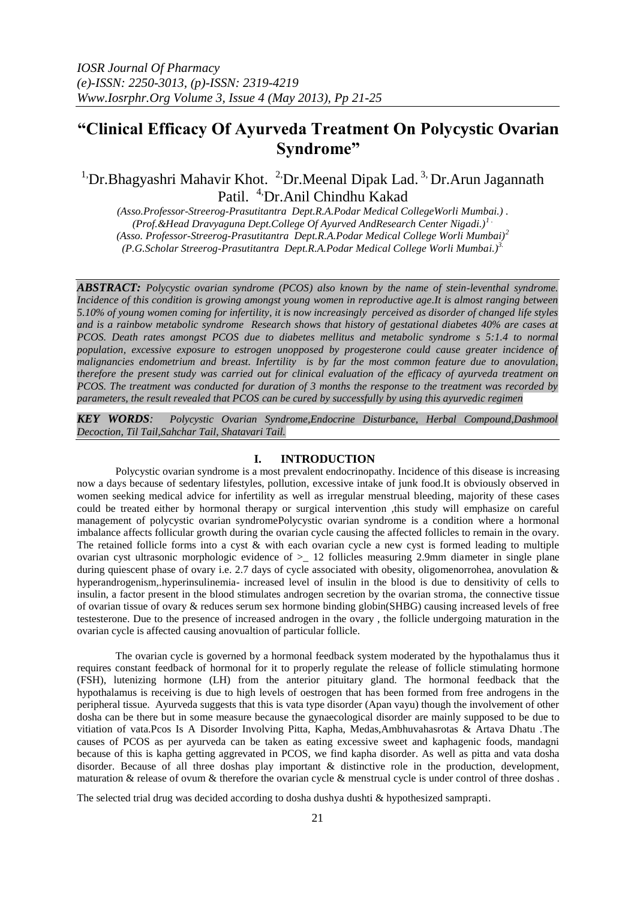# **"Clinical Efficacy Of Ayurveda Treatment On Polycystic Ovarian Syndrome"**

<sup>1</sup>Dr.Bhagyashri Mahavir Khot. <sup>2</sup>Dr.Meenal Dipak Lad.<sup>3,</sup> Dr.Arun Jagannath Patil. <sup>4,</sup>Dr.Anil Chindhu Kakad

*(Asso.Professor-Streerog-Prasutitantra Dept.R.A.Podar Medical CollegeWorli Mumbai.) . (Prof.&Head Dravyaguna Dept.College Of Ayurved AndResearch Center Nigadi.)1 . (Asso. Professor-Streerog-Prasutitantra Dept.R.A.Podar Medical College Worli Mumbai)<sup>2</sup> (P.G.Scholar Streerog-Prasutitantra Dept.R.A.Podar Medical College Worli Mumbai.)3.*

*ABSTRACT: Polycystic ovarian syndrome (PCOS) also known by the name of stein-leventhal syndrome. Incidence of this condition is growing amongst young women in reproductive age.It is almost ranging between 5.10% of young women coming for infertility, it is now increasingly perceived as disorder of changed life styles and is a rainbow metabolic syndrome Research shows that history of gestational diabetes 40% are cases at PCOS. Death rates amongst PCOS due to diabetes mellitus and metabolic syndrome s 5:1.4 to normal population, excessive exposure to estrogen unopposed by progesterone could cause greater incidence of malignancies endometrium and breast. Infertility is by far the most common feature due to anovulation, therefore the present study was carried out for clinical evaluation of the efficacy of ayurveda treatment on PCOS. The treatment was conducted for duration of 3 months the response to the treatment was recorded by parameters, the result revealed that PCOS can be cured by successfully by using this ayurvedic regimen*

*KEY WORDS: Polycystic Ovarian Syndrome,Endocrine Disturbance, Herbal Compound,Dashmool Decoction, Til Tail,Sahchar Tail, Shatavari Tail.*

#### **I. INTRODUCTION**

Polycystic ovarian syndrome is a most prevalent endocrinopathy. Incidence of this disease is increasing now a days because of sedentary lifestyles, pollution, excessive intake of junk food.It is obviously observed in women seeking medical advice for infertility as well as irregular menstrual bleeding, majority of these cases could be treated either by hormonal therapy or surgical intervention ,this study will emphasize on careful management of polycystic ovarian syndromePolycystic ovarian syndrome is a condition where a hormonal imbalance affects follicular growth during the ovarian cycle causing the affected follicles to remain in the ovary. The retained follicle forms into a cyst & with each ovarian cycle a new cyst is formed leading to multiple ovarian cyst ultrasonic morphologic evidence of  $>$  12 follicles measuring 2.9mm diameter in single plane during quiescent phase of ovary i.e. 2.7 days of cycle associated with obesity, oligomenorrohea, anovulation & hyperandrogenism,.hyperinsulinemia- increased level of insulin in the blood is due to densitivity of cells to insulin, a factor present in the blood stimulates androgen secretion by the ovarian stroma, the connective tissue of ovarian tissue of ovary & reduces serum sex hormone binding globin(SHBG) causing increased levels of free testesterone. Due to the presence of increased androgen in the ovary , the follicle undergoing maturation in the ovarian cycle is affected causing anovualtion of particular follicle.

The ovarian cycle is governed by a hormonal feedback system moderated by the hypothalamus thus it requires constant feedback of hormonal for it to properly regulate the release of follicle stimulating hormone (FSH), lutenizing hormone (LH) from the anterior pituitary gland. The hormonal feedback that the hypothalamus is receiving is due to high levels of oestrogen that has been formed from free androgens in the peripheral tissue. Ayurveda suggests that this is vata type disorder (Apan vayu) though the involvement of other dosha can be there but in some measure because the gynaecological disorder are mainly supposed to be due to vitiation of vata.Pcos Is A Disorder Involving Pitta, Kapha, Medas,Ambhuvahasrotas & Artava Dhatu .The causes of PCOS as per ayurveda can be taken as eating excessive sweet and kaphagenic foods, mandagni because of this is kapha getting aggrevated in PCOS, we find kapha disorder. As well as pitta and vata dosha disorder. Because of all three doshas play important & distinctive role in the production, development, maturation & release of ovum & therefore the ovarian cycle & menstrual cycle is under control of three doshas .

The selected trial drug was decided according to dosha dushya dushti & hypothesized samprapti.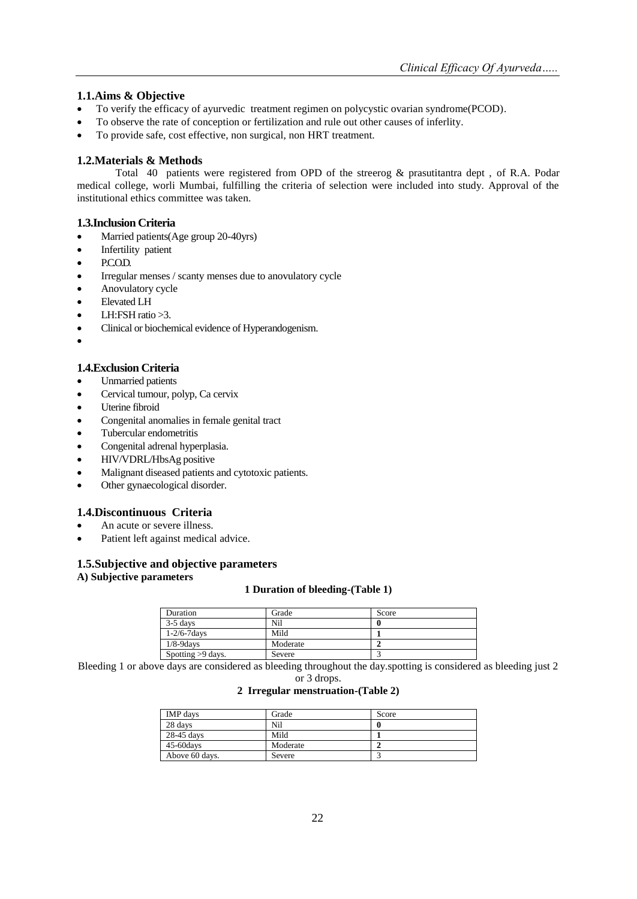# **1.1.Aims & Objective**

- To verify the efficacy of ayurvedic treatment regimen on polycystic ovarian syndrome(PCOD).
- To observe the rate of conception or fertilization and rule out other causes of inferlity.
- To provide safe, cost effective, non surgical, non HRT treatment.

## **1.2.Materials & Methods**

Total 40 patients were registered from OPD of the streerog & prasutitantra dept , of R.A. Podar medical college, worli Mumbai, fulfilling the criteria of selection were included into study. Approval of the institutional ethics committee was taken.

## **1.3.Inclusion Criteria**

- Married patients(Age group 20-40yrs)
- Infertility patient
- P.C.O.D.
- Irregular menses / scanty menses due to anovulatory cycle
- Anovulatory cycle
- Elevated LH
- LH:FSH ratio  $>3$ .
- Clinical or biochemical evidence of Hyperandogenism.
- $\bullet$

## **1.4.Exclusion Criteria**

- Unmarried patients
- Cervical tumour, polyp, Ca cervix
- Uterine fibroid
- Congenital anomalies in female genital tract
- Tubercular endometritis
- Congenital adrenal hyperplasia.
- HIV/VDRL/HbsAg positive
- Malignant diseased patients and cytotoxic patients.
- Other gynaecological disorder.

## **1.4.Discontinuous Criteria**

- An acute or severe illness.
- Patient left against medical advice.

## **1.5.Subjective and objective parameters A) Subjective parameters**

## **1 Duration of bleeding-(Table 1)**

| Duration           | Grade    | Score |
|--------------------|----------|-------|
| $3-5$ days         | Nil      |       |
| $1 - 2/6 - 7$ days | Mild     |       |
| $1/8 - 9$ days     | Moderate |       |
| Spotting >9 days.  | Severe   |       |

Bleeding 1 or above days are considered as bleeding throughout the day.spotting is considered as bleeding just 2 or 3 drops.

## **2 Irregular menstruation-(Table 2)**

| IMP days       | Grade    | Score |
|----------------|----------|-------|
| 28 days        | Nil      |       |
| 28-45 days     | Mild     |       |
| 45-60days      | Moderate |       |
| Above 60 days. | Severe   |       |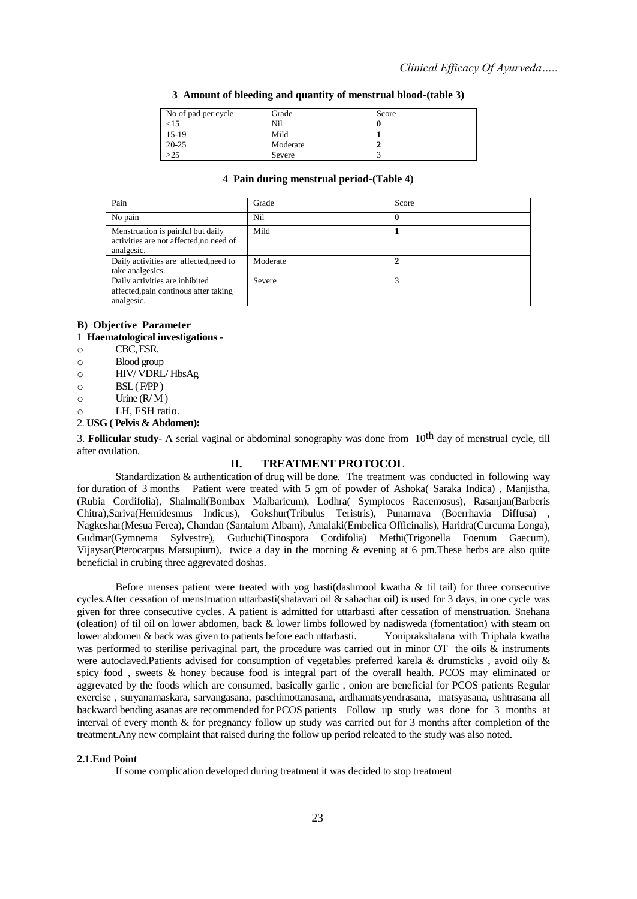| No of pad per cycle | Grade    | Score |  |
|---------------------|----------|-------|--|
| <15                 | Nil      |       |  |
| 15-19               | Mild     |       |  |
| $20 - 25$           | Moderate |       |  |
|                     | Severe   |       |  |

#### **3 Amount of bleeding and quantity of menstrual blood-(table 3)**

#### 4 **Pain during menstrual period-(Table 4)**

| Pain                                                                                       | Grade    | Score |
|--------------------------------------------------------------------------------------------|----------|-------|
| No pain                                                                                    | Nil      |       |
| Menstruation is painful but daily<br>activities are not affected, no need of<br>analgesic. | Mild     |       |
| Daily activities are affected, need to<br>take analgesics.                                 | Moderate |       |
| Daily activities are inhibited<br>affected, pain continous after taking<br>analgesic.      | Severe   |       |

## **B) Objective Parameter**

## 1 **Haematological investigations** -

- o CBC, ESR.
- o Blood group
- o HIV/ VDRL/ HbsAg
- $\circ$  BSL (F/PP)
- $\circ$  Urine (R/M)
- o LH, FSH ratio.
- 2. **USG ( Pelvis & Abdomen):**

3. **Follicular study**- A serial vaginal or abdominal sonography was done from 10th day of menstrual cycle, till after ovulation.

## **II. TREATMENT PROTOCOL**

Standardization & authentication of drug will be done. The treatment was conducted in following way for duration of 3 months Patient were treated with 5 gm of powder of Ashoka( Saraka Indica) , Manjistha, (Rubia Cordifolia), Shalmali(Bombax Malbaricum), Lodhra( Symplocos Racemosus), Rasanjan(Barberis Chitra),Sariva(Hemidesmus Indicus), Gokshur(Tribulus Teristris), Punarnava (Boerrhavia Diffusa) , Nagkeshar(Mesua Ferea), Chandan (Santalum Albam), Amalaki(Embelica Officinalis), Haridra(Curcuma Longa), Gudmar(Gymnema Sylvestre), Guduchi(Tinospora Cordifolia) Methi(Trigonella Foenum Gaecum), Vijaysar(Pterocarpus Marsupium), twice a day in the morning & evening at 6 pm.These herbs are also quite beneficial in crubing three aggrevated doshas.

Before menses patient were treated with yog basti(dashmool kwatha & til tail) for three consecutive cycles.After cessation of menstruation uttarbasti(shatavari oil & sahachar oil) is used for 3 days, in one cycle was given for three consecutive cycles. A patient is admitted for uttarbasti after cessation of menstruation. Snehana (oleation) of til oil on lower abdomen, back & lower limbs followed by nadisweda (fomentation) with steam on lower abdomen & back was given to patients before each uttarbasti. Yoniprakshalana with Triphala kwatha was performed to sterilise perivaginal part, the procedure was carried out in minor OT the oils & instruments were autoclaved.Patients advised for consumption of vegetables preferred karela & drumsticks , avoid oily & spicy food , sweets & honey because food is integral part of the overall health. PCOS may eliminated or aggrevated by the foods which are consumed, basically garlic , onion are beneficial for PCOS patients Regular exercise , suryanamaskara, sarvangasana, paschimottanasana, ardhamatsyendrasana, matsyasana, ushtrasana all backward bending asanas are recommended for PCOS patients Follow up study was done for 3 months at interval of every month & for pregnancy follow up study was carried out for 3 months after completion of the treatment.Any new complaint that raised during the follow up period releated to the study was also noted.

#### **2.1.End Point**

If some complication developed during treatment it was decided to stop treatment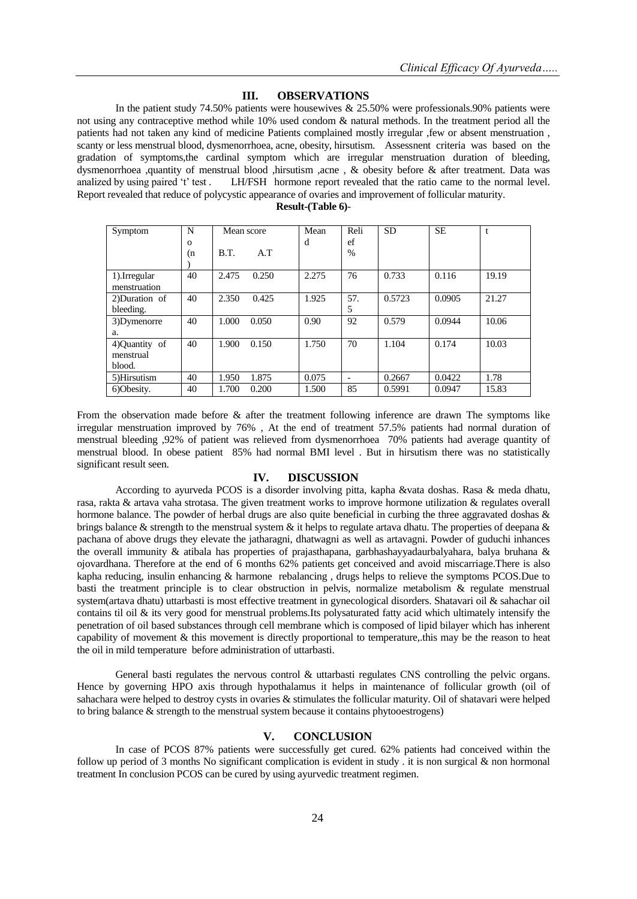#### **III. OBSERVATIONS**

In the patient study 74.50% patients were housewives & 25.50% were professionals.90% patients were not using any contraceptive method while 10% used condom & natural methods. In the treatment period all the patients had not taken any kind of medicine Patients complained mostly irregular ,few or absent menstruation , scanty or less menstrual blood, dysmenorrhoea, acne, obesity, hirsutism. Assessnent criteria was based on the gradation of symptoms,the cardinal symptom which are irregular menstruation duration of bleeding, dysmenorrhoea ,quantity of menstrual blood ,hirsutism ,acne, & obesity before & after treatment. Data was analized by using paired 't' test. LH/FSH hormone report revealed that the ratio came to the normal level. LH/FSH hormone report revealed that the ratio came to the normal level. Report revealed that reduce of polycystic appearance of ovaries and improvement of follicular maturity. **Result-(Table 6)**-

| Symptom        | N        | Mean score |       | Mean  | Reli                     | <b>SD</b> | <b>SE</b> |       |
|----------------|----------|------------|-------|-------|--------------------------|-----------|-----------|-------|
|                | $\Omega$ |            |       | d     | ef                       |           |           |       |
|                | (n       | B.T.       | A.T   |       | $\%$                     |           |           |       |
|                |          |            |       |       |                          |           |           |       |
| 1).Irregular   | 40       | 2.475      | 0.250 | 2.275 | 76                       | 0.733     | 0.116     | 19.19 |
| menstruation   |          |            |       |       |                          |           |           |       |
| 2) Duration of | 40       | 2.350      | 0.425 | 1.925 | 57.                      | 0.5723    | 0.0905    | 21.27 |
| bleeding.      |          |            |       |       | 5                        |           |           |       |
| 3)Dymenorre    | 40       | 1.000      | 0.050 | 0.90  | 92                       | 0.579     | 0.0944    | 10.06 |
| a.             |          |            |       |       |                          |           |           |       |
| 4) Ouantity of | 40       | 1.900      | 0.150 | 1.750 | 70                       | 1.104     | 0.174     | 10.03 |
| menstrual      |          |            |       |       |                          |           |           |       |
| blood.         |          |            |       |       |                          |           |           |       |
| 5)Hirsutism    | 40       | 1.950      | 1.875 | 0.075 | $\overline{\phantom{a}}$ | 0.2667    | 0.0422    | 1.78  |
| 6)Obesity.     | 40       | 1.700      | 0.200 | 1.500 | 85                       | 0.5991    | 0.0947    | 15.83 |

From the observation made before & after the treatment following inference are drawn The symptoms like irregular menstruation improved by 76% , At the end of treatment 57.5% patients had normal duration of menstrual bleeding ,92% of patient was relieved from dysmenorrhoea 70% patients had average quantity of menstrual blood. In obese patient 85% had normal BMI level . But in hirsutism there was no statistically significant result seen.

## **IV. DISCUSSION**

According to ayurveda PCOS is a disorder involving pitta, kapha &vata doshas. Rasa & meda dhatu, rasa, rakta & artava vaha strotasa. The given treatment works to improve hormone utilization & regulates overall hormone balance. The powder of herbal drugs are also quite beneficial in curbing the three aggravated doshas & brings balance & strength to the menstrual system & it helps to regulate artava dhatu. The properties of deepana & pachana of above drugs they elevate the jatharagni, dhatwagni as well as artavagni. Powder of guduchi inhances the overall immunity & atibala has properties of prajasthapana, garbhashayyadaurbalyahara, balya bruhana & ojovardhana. Therefore at the end of 6 months 62% patients get conceived and avoid miscarriage.There is also kapha reducing, insulin enhancing & harmone rebalancing , drugs helps to relieve the symptoms PCOS.Due to basti the treatment principle is to clear obstruction in pelvis, normalize metabolism & regulate menstrual system(artava dhatu) uttarbasti is most effective treatment in gynecological disorders. Shatavari oil & sahachar oil contains til oil & its very good for menstrual problems.Its polysaturated fatty acid which ultimately intensify the penetration of oil based substances through cell membrane which is composed of lipid bilayer which has inherent capability of movement & this movement is directly proportional to temperature,.this may be the reason to heat the oil in mild temperature before administration of uttarbasti.

General basti regulates the nervous control & uttarbasti regulates CNS controlling the pelvic organs. Hence by governing HPO axis through hypothalamus it helps in maintenance of follicular growth (oil of sahachara were helped to destroy cysts in ovaries & stimulates the follicular maturity. Oil of shatavari were helped to bring balance & strength to the menstrual system because it contains phytooestrogens)

#### **V. CONCLUSION**

In case of PCOS 87% patients were successfully get cured. 62% patients had conceived within the follow up period of 3 months No significant complication is evident in study . it is non surgical & non hormonal treatment In conclusion PCOS can be cured by using ayurvedic treatment regimen.